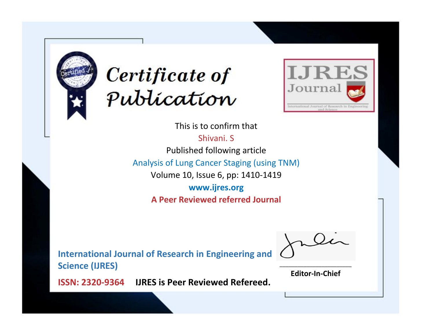



This is to confirm that Shivani. S Published following article Analysis of Lung Cancer Staging (using TNM) Volume 10, Issue 6, pp: 1410-1419 **www.ijres.org**

**A Peer Reviewed referred Journal**

**International Journal of Research in Engineering and Science (IJRES)**

\_\_\_\_\_\_\_\_\_\_\_\_\_\_\_\_\_\_\_\_\_\_\_\_ **Editor-In-Chief**

**Journal.**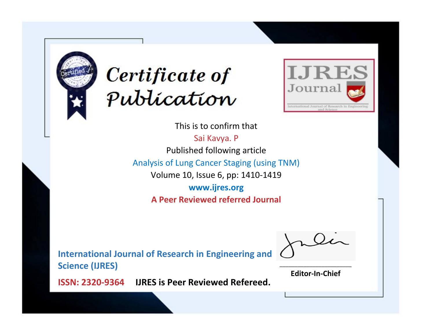



This is to confirm that

Sai Kavya. P Published following article Analysis of Lung Cancer Staging (using TNM) Volume 10, Issue 6, pp: 1410-1419 **www.ijres.org**

**A Peer Reviewed referred Journal**

**International Journal of Research in Engineering and Science (IJRES)**

\_\_\_\_\_\_\_\_\_\_\_\_\_\_\_\_\_\_\_\_\_\_\_\_ **Editor-In-Chief**

**Journal.**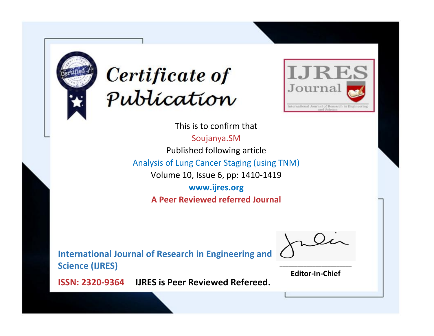



This is to confirm that Soujanya.SM Published following article Analysis of Lung Cancer Staging (using TNM) Volume 10, Issue 6, pp: 1410-1419 **www.ijres.org A Peer Reviewed referred Journal**

**International Journal of Research in Engineering and Science (IJRES)**

\_\_\_\_\_\_\_\_\_\_\_\_\_\_\_\_\_\_\_\_\_\_\_\_ **Editor-In-Chief**

**Journal.**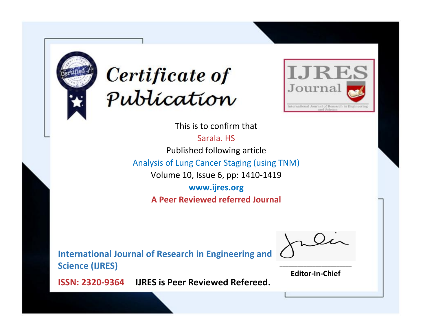



This is to confirm that Sarala. HS Published following article Analysis of Lung Cancer Staging (using TNM) Volume 10, Issue 6, pp: 1410-1419 **www.ijres.org A Peer Reviewed referred Journal**

**International Journal of Research in Engineering and Science (IJRES)**

\_\_\_\_\_\_\_\_\_\_\_\_\_\_\_\_\_\_\_\_\_\_\_\_ **Editor-In-Chief**

**Journal.**